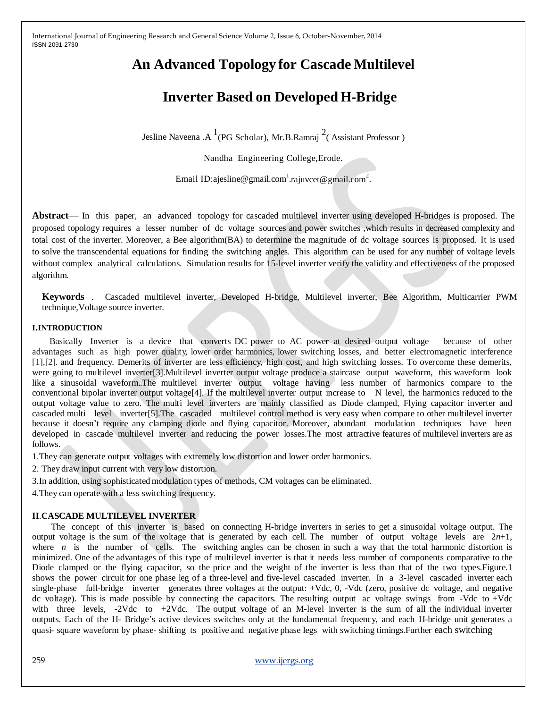# **An Advanced Topology for Cascade Multilevel**

# **Inverter Based on Developed H-Bridge**

Jesline Naveena .A  $^{1}$ (PG Scholar), Mr.B.Ramraj  $^{2}$ (Assistant Professor)

Nandha Engineering College,Erode.

Email ID:ajesline@gmail.com $^1$ [.rajuvcet@gmail.com](mailto:rajuvcet@gmail.com) $^2$ .

**Abstract**— In this paper, an advanced topology for cascaded multilevel inverter using developed H-bridges is proposed. The proposed topology requires a lesser number of dc voltage sources and power switches ,which results in decreased complexity and total cost of the inverter. Moreover, a Bee algorithm(BA) to determine the magnitude of dc voltage sources is proposed. It is used to solve the transcendental equations for finding the switching angles. This algorithm can be used for any number of voltage levels without complex analytical calculations. Simulation results for 15-level inverter verify the validity and effectiveness of the proposed algorithm.

**Keywords**—. Cascaded multilevel inverter, Developed H-bridge, Multilevel inverter, Bee Algorithm, Multicarrier PWM technique,Voltage source inverter.

### **I.INTRODUCTION**

 Basically Inverter is a device that converts DC power to AC power at desired output voltage because of other advantages such as high power quality, lower order harmonics, lower switching losses, and better electromagnetic interference [1],[2]. and frequency. Demerits of inverter are less efficiency, high cost, and high switching losses. To overcome these demerits, were going to multilevel inverter[3].Multilevel inverter output voltage produce a staircase output waveform, this waveform look like a sinusoidal waveform..The multilevel inverter output voltage having less number of harmonics compare to the conventional bipolar inverter output voltage[4]. If the multilevel inverter output increase to N level, the harmonics reduced to the output voltage value to zero. The multi level inverters are mainly classified as Diode clamped, Flying capacitor inverter and cascaded multi level inverter[5].The cascaded multilevel control method is very easy when compare to other multilevel inverter because it doesn't require any clamping diode and flying capacitor. Moreover, abundant modulation techniques have been developed in cascade multilevel inverter and reducing the power losses.The most attractive features of multilevel inverters are as follows.

1.They can generate output voltages with extremely low distortion and lower order harmonics.

2. They draw input current with very low distortion.

3.In addition, using sophisticated modulation types of methods, CM voltages can be eliminated.

4.They can operate with a less switching frequency.

### **II**.**CASCADE MULTILEVEL INVERTER**

 The concept of this inverter is based on connecting H-bridge inverters in series to get a sinusoidal voltage output. The output voltage is the sum of the voltage that is generated by each cell. The number of output voltage levels are  $2n+1$ , where *n* is the number of cells. The switching angles can be chosen in such a way that the total harmonic distortion is minimized. One of the advantages of this type of multilevel inverter is that it needs less number of components comparative to the Diode clamped or the flying capacitor, so the price and the weight of the inverter is less than that of the two types.Figure.1 shows the power circuit for one phase leg of a three-level and five-level cascaded inverter. In a 3-level cascaded inverter each single-phase full-bridge inverter generates three voltages at the output: +Vdc, 0, -Vdc (zero, positive dc voltage, and negative dc voltage). This is made possible by connecting the capacitors. The resulting output ac voltage swings from -Vdc to +Vdc with three levels, -2Vdc to +2Vdc. The output voltage of an M-level inverter is the sum of all the individual inverter outputs. Each of the H- Bridge's active devices switches only at the fundamental frequency, and each H-bridge unit generates a quasi- square waveform by phase- shifting ts positive and negative phase legs with switching timings.Further each switching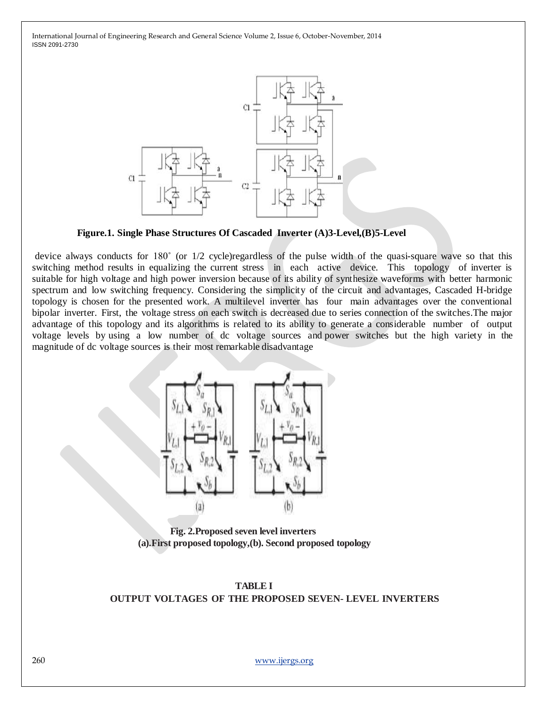

 **Figure.1. Single Phase Structures Of Cascaded Inverter (A)3-Level,(B)5-Level**

device always conducts for 180˚ (or 1/2 cycle)regardless of the pulse width of the quasi-square wave so that this switching method results in equalizing the current stress in each active device. This topology of inverter is suitable for high voltage and high power inversion because of its ability of synthesize waveforms with better harmonic spectrum and low switching frequency. Considering the simplicity of the circuit and advantages, Cascaded H-bridge topology is chosen for the presented work. A multilevel inverter has four main advantages over the conventional bipolar inverter. First, the voltage stress on each switch is decreased due to series connection of the switches.The major advantage of this topology and its algorithms is related to its ability to generate a considerable number of output voltage levels by using a low number of dc voltage sources and power switches but the high variety in the magnitude of dc voltage sources is their most remarkable disadvantage



 **Fig. 2.Proposed seven level inverters (a).First proposed topology,(b). Second proposed topology**



# **OUTPUT VOLTAGES OF THE PROPOSED SEVEN- LEVEL INVERTERS**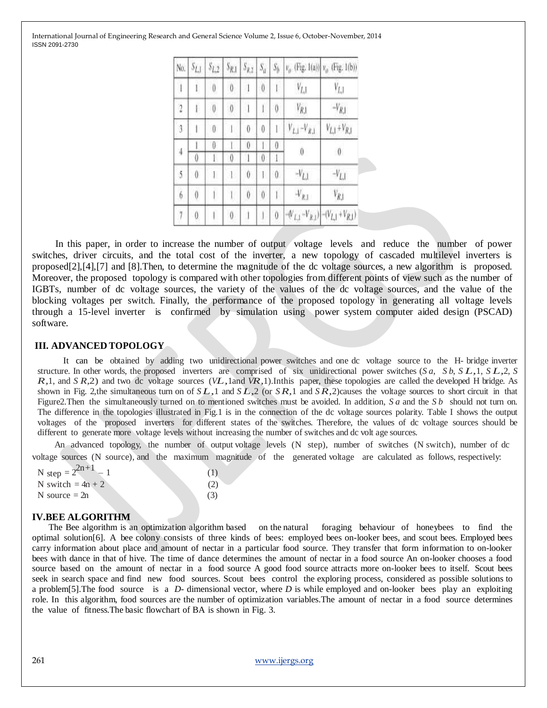International Journal of Engineering Research and General Science Volume 2, Issue 6, October-November, 2014 ISSN 2091-2730

| No.            | $S_{L,1}$        | $S_{L,2}$        | $S_{R,1}$        | $S_{R,2}$   | $S_{\alpha}$ | $S_b$            |                    | $v_{\rho}$ (Fig. 1(a)) $v_{\rho}$ (Fig. 1(b))                       |
|----------------|------------------|------------------|------------------|-------------|--------------|------------------|--------------------|---------------------------------------------------------------------|
| $\mathbf{I}$   | $\mathbf{I}$     | $\boldsymbol{0}$ | $\boldsymbol{0}$ |             | 0            |                  | $V_{L,1}$          | $V_{L,1}$                                                           |
| $\overline{2}$ | í.               | $\overline{0}$   | $\boldsymbol{0}$ |             |              | 0                | $V_{R,\mathrm{l}}$ | $-V_{R,l}$                                                          |
| 3              | L                | $\boldsymbol{0}$ |                  | 0           | 0            |                  | $V_{L,1}-V_{R,1}$  | $V_{L,1} + V_{R,1}$                                                 |
| 4              |                  | 0                |                  | 0           |              | 0                | $\theta$           |                                                                     |
|                | $\theta$         |                  | 0                |             | 0            |                  |                    | $\theta$                                                            |
| 5              | $\emptyset$      | L                | 45               | $\theta$    | ŀ            | $\theta$         | $-V_{L,1}$         | $-V_{L,1}$                                                          |
| 6              | $\boldsymbol{0}$ |                  |                  | $\emptyset$ | $\emptyset$  |                  | $V_{R,\rm I}$      | $V_{R,1}$                                                           |
| $\overline{7}$ | $\boldsymbol{0}$ |                  | $\theta$         |             |              | $\boldsymbol{0}$ |                    | $-\langle V_{L,1}-V_{R,1}\rangle$ $-\langle V_{L,1}+V_{R,1}\rangle$ |

 In this paper, in order to increase the number of output voltage levels and reduce the number of power switches, driver circuits, and the total cost of the inverter, a new topology of cascaded multilevel inverters is proposed[2],[4],[7] and [8].Then, to determine the magnitude of the dc voltage sources, a new algorithm is proposed. Moreover, the proposed topology is compared with other topologies from different points of view such as the number of IGBTs, number of dc voltage sources, the variety of the values of the dc voltage sources, and the value of the blocking voltages per switch. Finally, the performance of the proposed topology in generating all voltage levels through a 15-level inverter is confirmed by simulation using power system computer aided design (PSCAD) software.

### **III. ADVANCED TOPOLOGY**

 It can be obtained by adding two unidirectional power switches and one dc voltage source to the H- bridge inverter structure. In other words, the proposed inverters are comprised of six unidirectional power switches (*<sup>S</sup> <sup>a</sup>*, *<sup>S</sup> <sup>b</sup>*, *<sup>S</sup> L,*1, *<sup>S</sup> L,*2, *<sup>S</sup> R,*1, and *<sup>S</sup> R,*2) and two dc voltage sources (*VL,*1and *VR,*1).Inthis paper, these topologies are called the developed <sup>H</sup> bridge. As shown in Fig. 2,the simultaneous turn on of *SL,*<sup>1</sup> and *<sup>S</sup> L,*<sup>2</sup> (or *SR,*<sup>1</sup> and *SR,*2)causes the voltage sources to short circuit in that Figure2.Then the simultaneously turned on to mentioned switches must be avoided. In addition, *S a* and the *S b* should not turn on. The difference in the topologies illustrated in Fig.1 is in the connection of the dc voltage sources polarity. Table I shows the output voltages of the proposed inverters for different states of the switches. Therefore, the values of dc voltage sources should be different to generate more voltage levels without increasing the number of switches and dc volt age sources.

 An advanced topology, the number of output voltage levels (N step), number of switches (N switch), number of dc voltage sources (N source), and the maximum magnitude of the generated voltage are calculated as follows, respectively:

| N step = $2^{2n+1}$ – 1 | (1) |
|-------------------------|-----|
| N switch $= 4n + 2$     | (2) |
| N source $= 2n$         | (3) |

#### **IV.BEE ALGORITHM**

 The Bee algorithm is an optimization algorithm based on the natural foraging behaviour of honeybees to find the optimal solution[6]. A bee colony consists of three kinds of bees: employed bees on-looker bees, and scout bees. Employed bees carry information about place and amount of nectar in a particular food source. They transfer that form information to on-looker bees with dance in that of hive. The time of dance determines the amount of nectar in a food source An on-looker chooses a food source based on the amount of nectar in a food source A good food source attracts more on-looker bees to itself. Scout bees seek in search space and find new food sources. Scout bees control the exploring process, considered as possible solutions to a problem[5].The food source is a *D*- dimensional vector, where *D* is while employed and on-looker bees play an exploiting role. In this algorithm, food sources are the number of optimization variables.The amount of nectar in a food source determines the value of fitness.The basic flowchart of BA is shown in Fig. 3.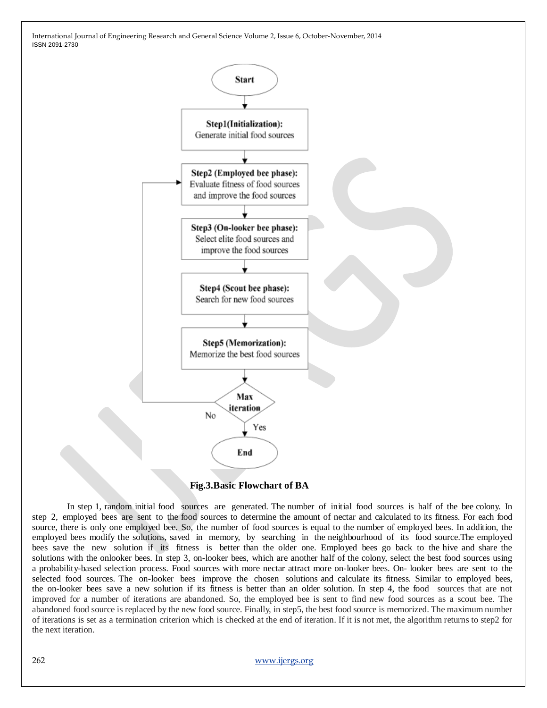

 **Fig.3.Basic Flowchart of BA**

 In step 1, random initial food sources are generated. The number of initial food sources is half of the bee colony. In step 2, employed bees are sent to the food sources to determine the amount of nectar and calculated to its fitness. For each food source, there is only one employed bee. So, the number of food sources is equal to the number of employed bees. In addition, the employed bees modify the solutions, saved in memory, by searching in the neighbourhood of its food source.The employed bees save the new solution if its fitness is better than the older one. Employed bees go back to the hive and share the solutions with the onlooker bees. In step 3, on-looker bees, which are another half of the colony, select the best food sources using a probability-based selection process. Food sources with more nectar attract more on-looker bees. On- looker bees are sent to the selected food sources. The on-looker bees improve the chosen solutions and calculate its fitness. Similar to employed bees, the on-looker bees save a new solution if its fitness is better than an older solution. In step 4, the food sources that are not improved for a number of iterations are abandoned. So, the employed bee is sent to find new food sources as a scout bee. The abandoned food source is replaced by the new food source. Finally, in step5, the best food source is memorized. The maximum number of iterations is set as a termination criterion which is checked at the end of iteration. If it is not met, the algorithm returns to step2 for the next iteration.

262 [www.ijergs.org](http://www.ijergs.org/)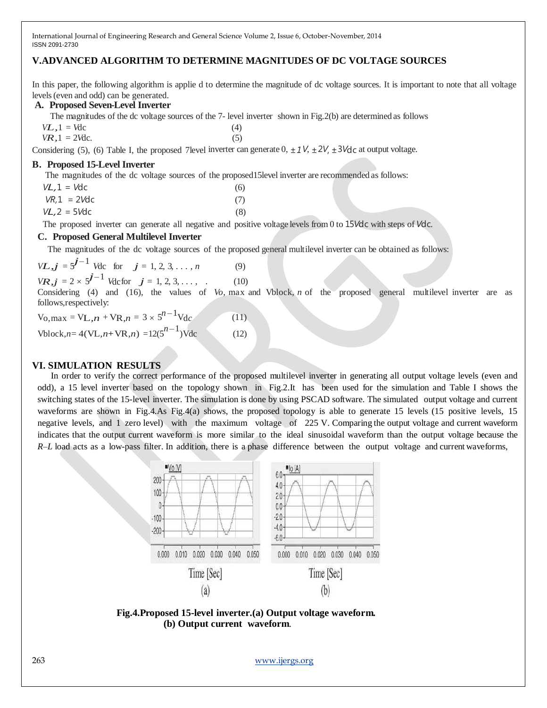# **V.ADVANCED ALGORITHM TO DETERMINE MAGNITUDES OF DC VOLTAGE SOURCES**

In this paper, the following algorithm is applie d to determine the magnitude of dc voltage sources. It is important to note that all voltage levels(even and odd) can be generated.

#### **A. Proposed Seven-Level Inverter**

The magnitudes of the dc voltage sources of the 7- level inverter shown in Fig.2(b) are determined as follows

 $V_{1} = V \text{d}c$  (4)  $VR, 1 = 2$ *Vdc.* (5)

Considering (5), (6) Table I, the proposed 7level inverter can generate  $0, \pm 1V, \pm 2V, \pm 3V$ dc at output voltage.

#### **B. Proposed 15-Level Inverter**

The magnitudes of the dc voltage sources of the proposed15level inverter are recommended as follows:

| $VL, 1 = Vdc$  | (6) |
|----------------|-----|
| $VR,1 = 2Vdc$  | (7) |
| $VL, 2 = 5Vdc$ | (8) |

The proposed inverter can generate all negative and positive voltage levels from 0 to 15*V*dc with steps of *V*dc.

## **C. Proposed General Multilevel Inverter**

The magnitudes of the dc voltage sources of the proposed general multilevel inverter can be obtained as follows:

*VL,j* =  $5^{j-1}$  *V*dc for *j* = 1, 2, 3, ..., *n* (9) *VR,j* = 2 ×  $5^{j-1}$  *V*dcfor *j* = 1, 2, 3, ..., . (10)

Considering (4) and (16), the values of *Vo*, max and Vblock, *n* of the proposed general multilevel inverter are as follows,respectively:

 $V_0$ , max =  $VL$ , *n* +  $VR$ , *n* = 3 ×  $5^{n-1}$   $Vdc$  (11)  $\text{Vblock}, n = 4(\text{VL}, n + \text{VR}, n) = 12(5^{n-1})\text{Vdc}$  (12)

## **VI. SIMULATION RESULTS**

 In order to verify the correct performance of the proposed multilevel inverter in generating all output voltage levels (even and odd), a 15 level inverter based on the topology shown in Fig.2.It has been used for the simulation and Table I shows the switching states of the 15-level inverter. The simulation is done by using PSCAD software. The simulated output voltage and current waveforms are shown in Fig.4.As Fig.4(a) shows, the proposed topology is able to generate 15 levels (15 positive levels, 15 negative levels, and 1 zero level) with the maximum voltage of 225 V. Comparing the output voltage and current waveform indicates that the output current waveform is more similar to the ideal sinusoidal waveform than the output voltage because the *R*–*L* load acts as a low-pass filter. In addition, there is a phase difference between the output voltage and current waveforms,





263 [www.ijergs.org](http://www.ijergs.org/)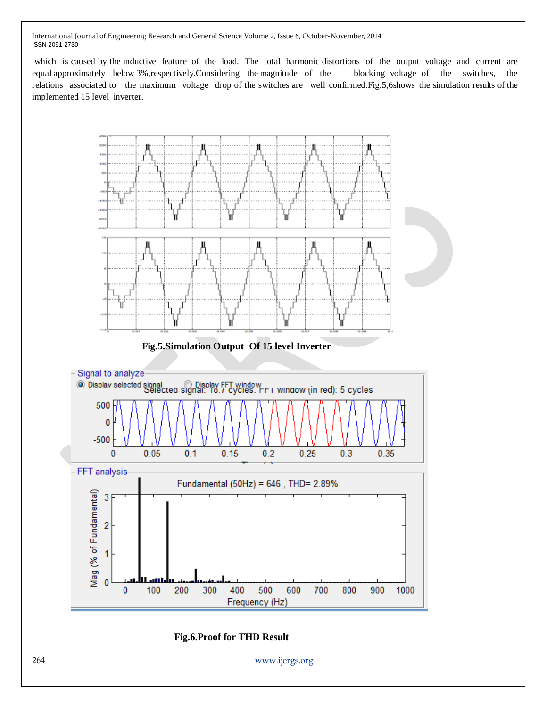which is caused by the inductive feature of the load. The total harmonic distortions of the output voltage and current are equal approximately below 3%,respectively.Considering the magnitude of the blocking voltage of the switches, the relations associated to the maximum voltage drop of the switches are well confirmed.Fig.5,6shows the simulation results of the implemented 15 level inverter.



 **Fig.6.Proof for THD Result**

264 [www.ijergs.org](http://www.ijergs.org/)